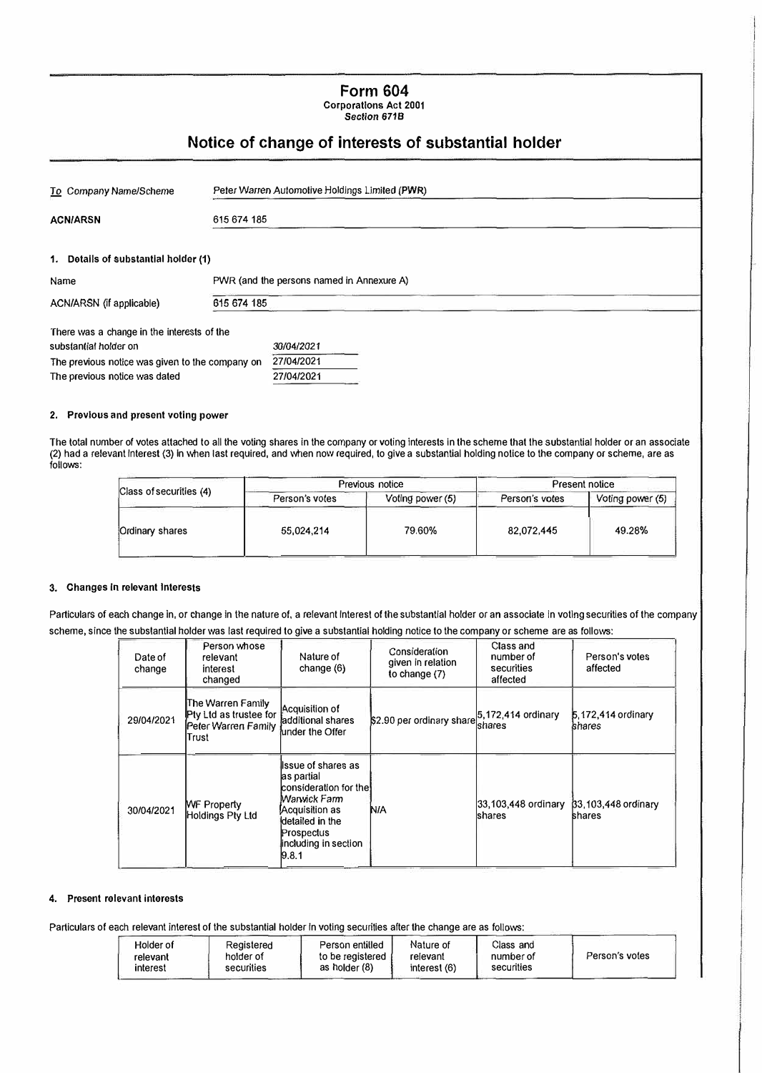**Form 604 Corporations Act 2001 Section 6718** 

### **Notice of change of interests of substantial holder**

| To Company Name/Scheme                          |             | Peter Warren Automotive Holdings Limited (PWR) |  |  |
|-------------------------------------------------|-------------|------------------------------------------------|--|--|
| <b>ACN/ARSN</b>                                 | 615 674 185 |                                                |  |  |
| 1. Details of substantial holder (1)            |             |                                                |  |  |
| Name                                            |             | PWR (and the persons named in Annexure A)      |  |  |
| ACN/ARSN (if applicable)                        | 615 674 185 |                                                |  |  |
| There was a change in the interests of the      |             |                                                |  |  |
| substantial holder on                           |             | 30/04/2021                                     |  |  |
| The previous notice was given to the company on |             | 27/04/2021                                     |  |  |
| The previous notice was dated                   |             | 27/04/2021                                     |  |  |

#### **2. Previous and present voting power**

The total number of votes attached to all the voting shares in the company or voting interests in the scheme that the substantial holder or an associate (2) had a relevant Interest (3) In when last required, and when now required, to give a substantial holding notice to the company or scheme, are as follows:

| Class of securities (4) |                | Previous notice  | <b>Present notice</b> |                  |
|-------------------------|----------------|------------------|-----------------------|------------------|
|                         | Person's votes | Voting power (5) | Person's votes        | Voting power (5) |
| Ordinary shares         | 55,024,214     | 79.60%           | 82.072,445            | 49.28%           |

#### 3. Changes In relevant Interests

Particulars of each change in, or change in the nature of, a relevant interest of the substantial holder or an associate in voting securities of the company scheme, since the substantial holder was last required to give a substantial holding notice to the company or scheme are as follows:

| Date of<br>change | Person whose<br>relevant<br>interest<br>changed                             | Nature of<br>change $(6)$                                                                                                                                          | Consideration<br>given in relation<br>to change (7) | Class and<br>number of<br>securities<br>affected | Person's votes<br>affected      |
|-------------------|-----------------------------------------------------------------------------|--------------------------------------------------------------------------------------------------------------------------------------------------------------------|-----------------------------------------------------|--------------------------------------------------|---------------------------------|
| 29/04/2021        | The Warren Family<br>Pty Ltd as trustee for<br>Peter Warren Family<br>Trust | Acquisition of<br>ladditional shares<br>lunder the Offer                                                                                                           | \$2.90 per ordinary share 5,172,414 ordinary        | Ishares                                          | 5.172,414 ordinary<br>lshares   |
| 30/04/2021        | <b>WF Property</b><br>Holdings Pty Ltd                                      | lissue of shares as<br>as partial<br>consideration for thel<br>Warwick Farm<br>Acquisition as<br>detailed in the<br>Prospectus<br>including in section<br> 9, 8, 1 | N/A                                                 | 33,103,448 ordinary<br><b>shares</b>             | $33.103,448$ ordinary<br>shares |

#### **4.** Present relevant interests

Particulars of each relevant interest of the substantial holder in voting securities after the change are as follows:

| Person entitled<br>Reaistered<br>Holder of<br>holder of<br>to be registered<br>relevant<br>securities<br>as holder (8)<br>interest | Nature of<br>Class and<br>relevant<br>number of<br>securities<br>interest (6) | Person's votes |
|------------------------------------------------------------------------------------------------------------------------------------|-------------------------------------------------------------------------------|----------------|
|------------------------------------------------------------------------------------------------------------------------------------|-------------------------------------------------------------------------------|----------------|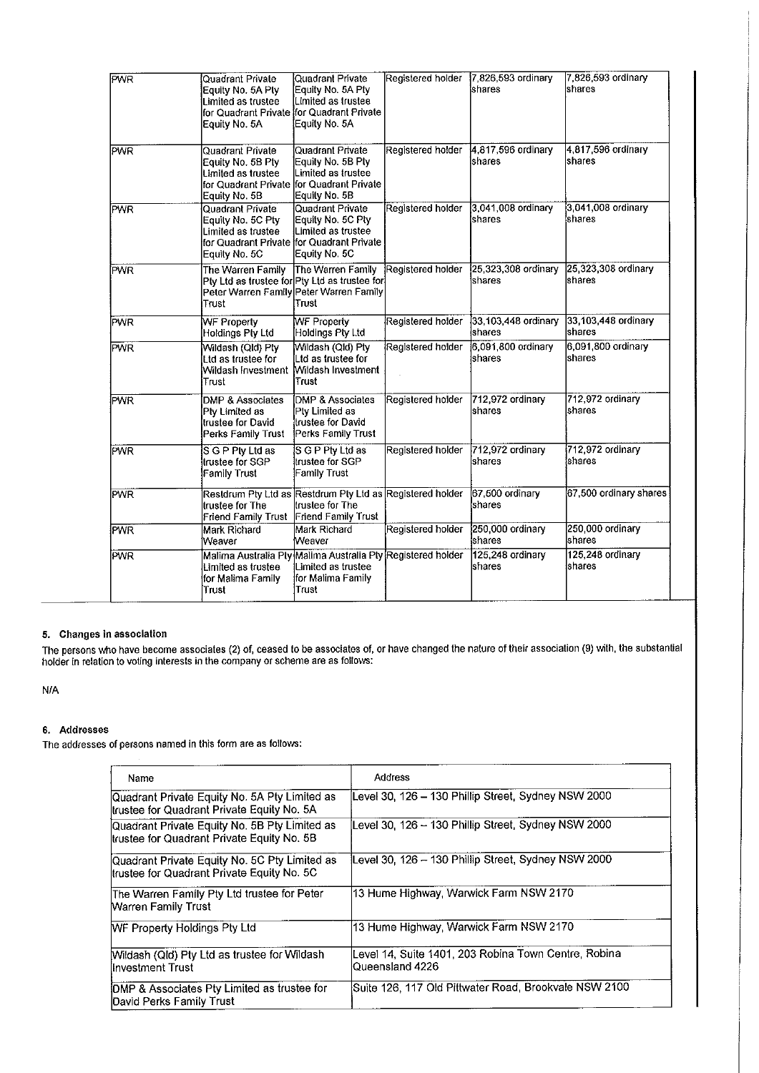| <b>PWR</b> | Quadrant Private<br>Equity No. 5A Pty<br>Limited as trustee<br>Equity No. 5A                                                      | Quadrant Private<br>Equity No. 5A Pty<br>Limited as trustee<br>for Quadrant Private ifor Quadrant Private<br>Equity No. 5A | Registered holder | 7 826,593 ordinary<br>shares   | 7,826,593 ordinary<br>shares   |
|------------|-----------------------------------------------------------------------------------------------------------------------------------|----------------------------------------------------------------------------------------------------------------------------|-------------------|--------------------------------|--------------------------------|
| <b>PWR</b> | Quadrant Private<br>Equity No. 5B Pty<br>Limited as trustee<br>for Quadrant Private<br>Equity No. 5B                              | <b>Quadrant Private</b><br>Equity No. 5B Pty<br>Limited as trustee<br>lfor Quadrant Private<br>Equily No. 5B               | Registered holder | 4,817,596 ordinary<br>shares   | 4,817,596 ordinary<br>shares   |
| <b>PWR</b> | <b>Quadrant Private</b><br>Equity No. 5C Pty<br>Limited as trustee<br>for Quadrant Private ffor Quadrant Private<br>Equity No. 5C | Quadrant Private<br>Equity No. 5C Pty<br>Limited as trustee<br>Equity No. 5C                                               | Registered holder | 3,041,008 ordinary<br>shares   | 3,041,008 ordinary<br>shares   |
| <b>PWR</b> | The Warren Family<br>Pty Ltd as trustee for Pty Ltd as trustee for<br>Peter Warren Family Peter Warren Family<br>Trust            | The Warren Family<br>Trust                                                                                                 | Registered holder | 25,323,308 ordinary<br>Ishares | 25,323,308 ordinary<br>Ishares |
| <b>PWR</b> | WF Property<br>Holdings Ptv Ltd                                                                                                   | WF Property<br>Holdings Ply Ltd                                                                                            | Registered holder | 33,103,448 ordinary<br>Ishares | 33,103,448 ordinary<br>Ishares |
| <b>PWR</b> | Wildash (Qld) Ply<br>Ltd as trustee for<br>Wildash Investment<br>Trust                                                            | Wildash (Qld) Pty<br>Ltd as trustee for<br>Wildash Investment<br><b>Trust</b>                                              | Registered holder | 6,091,800 ordinary<br>Ishares  | 6,091,800 ordinary<br>shares   |
| <b>PWR</b> | <b>DMP &amp; Associates</b><br>Pty Limited as<br>trustee for David<br>Perks Family Trust                                          | DMP & Associates<br>Ply Limited as<br>trustee for David<br>Perks Family Trust                                              | Registered holder | 712,972 ordinary<br>Ishares    | 712,972 ordinary<br>shares     |
| <b>PWR</b> | S G P Ptv Ltd as<br>trustee for SGP<br><b>Family Trust</b>                                                                        | S G P Pty Ltd as<br>trustee for SGP<br>Family Trust                                                                        | Registered holder | 712,972 ordinary<br>Ishares    | 712,972 ordinary<br>shares     |
| <b>PWR</b> | Residrum Pty Ltd as Residrum Ply Ltd as Registered holder<br>ltrustee for The<br>Friend Family Trust                              | trustee for The<br>Friend Family Trust                                                                                     |                   | 67,500 ordinary<br>shares      | 67,500 ordinary shares         |
| <b>PWR</b> | Mark Richard<br>Weaver                                                                                                            | Mark Richard<br>lweaver                                                                                                    | Registered holder | 250,000 ordinary<br>lshares    | 250,000 ordinary<br>Ishares    |
| <b>PWR</b> | Malima Australia Pty Malima Australia Pty Registered holder<br>Limited as trustee<br>for Malima Family<br>Trust                   | Limited as trustee<br>lfor Malima Family<br>Trust                                                                          |                   | 125,248 ordinary<br>shares     | 125,248 ordinary<br>Ishares    |

#### 5. Changes in association

The persons who have become associates (2) of, ceased to be associates of, or have changed the nature of their association (9) with, the substantial holder in relation to voting interests in the company or scheme are as follows:

N/A

#### 6. Addresses

The addresses of persons named in this form are as follows:

| Name                                                                                        | Address                                                                 |
|---------------------------------------------------------------------------------------------|-------------------------------------------------------------------------|
| Quadrant Private Equity No. 5A Pty Limited as<br>Irustee for Quadrant Private Equity No. 5A | Level 30, 126 - 130 Phillip Street, Sydney NSW 2000                     |
| Quadrant Private Equity No. 5B Pty Limited as<br>trustee for Quadrant Private Equity No. 5B | Level 30, 126 - 130 Phillip Street, Sydney NSW 2000                     |
| Quadrant Private Equity No. 5C Pty Limited as<br>trustee for Quadrant Private Equity No. 5C | Level 30, 126 – 130 Phillip Street, Sydney NSW 2000                     |
| The Warren Family Pty Ltd trustee for Peter<br>Warren Family Trust                          | 13 Hume Highway, Warwick Farm NSW 2170                                  |
| <b>IWF Property Holdings Pty Ltd</b>                                                        | 13 Hume Highway, Warwick Farm NSW 2170                                  |
| Wildash (Qld) Pty Ltd as trustee for Wildash<br>Investment Trust                            | Level 14, Suite 1401, 203 Robina Town Centre, Robina<br>Oueensland 4226 |
| OMP & Associates Pty Limited as trustee for<br>David Perks Family Trust                     | Suite 126, 117 Old Pittwater Road, Brookvale NSW 2100                   |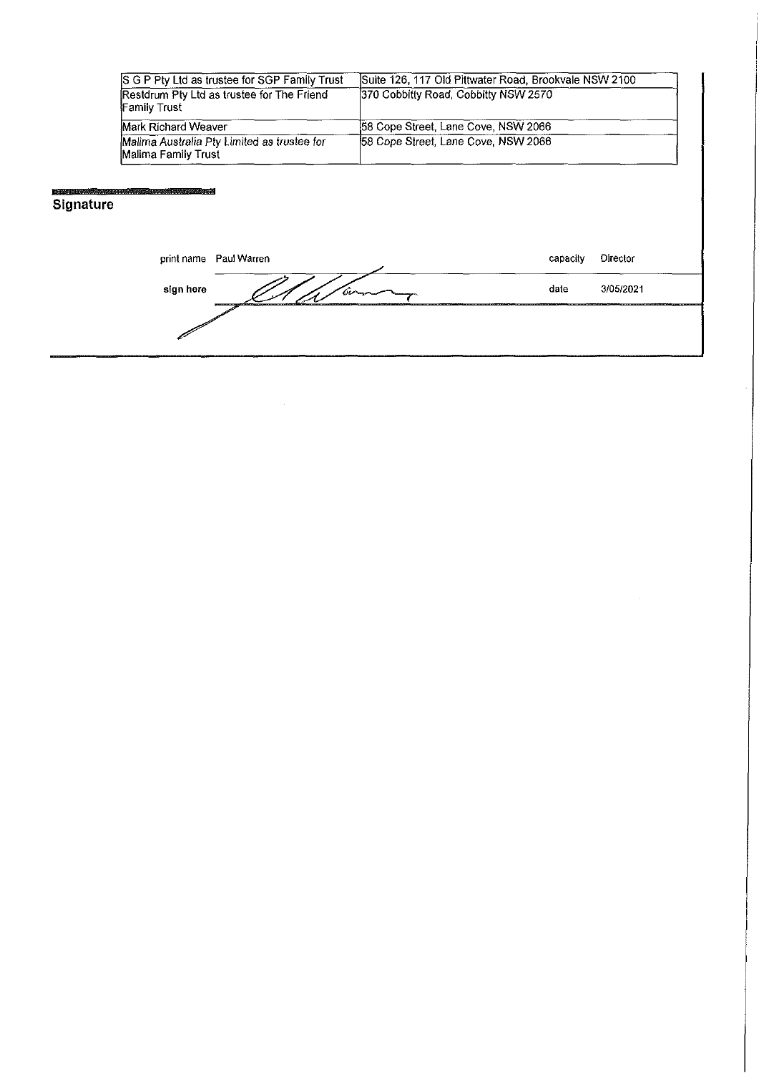| S G P Pty Ltd as trustee for SGP Family Trust                      | Suite 126, 117 Old Pittwater Road, Brookvale NSW 2100 |
|--------------------------------------------------------------------|-------------------------------------------------------|
| Restdrum Pty Ltd as trustee for The Friend<br><b>Family Trust</b>  | 370 Cobbitty Road, Cobbitty NSW 2570                  |
| Mark Richard Weaver                                                | 58 Cope Street, Lane Cove, NSW 2066                   |
| Malima Australia Pty Limited as trustee for<br>Malima Family Trust | 58 Cope Street, Lane Cove, NSW 2066                   |

# **Signature**

print name Paul Warren capacity Director sign here  $\frac{d}{dx}$   $\frac{d}{dx}$   $\frac{d}{dx}$   $\frac{d}{dx}$   $\frac{d}{dx}$   $\frac{d}{dx}$   $\frac{d}{dx}$   $\frac{d}{dx}$   $\frac{d}{dx}$   $\frac{d}{dx}$   $\frac{d}{dx}$   $\frac{d}{dx}$   $\frac{d}{dx}$   $\frac{d}{dx}$   $\frac{d}{dx}$   $\frac{d}{dx}$   $\frac{d}{dx}$   $\frac{d}{dx}$   $\frac{d}{dx}$   $\frac{d}{dx}$   $\frac{d}{dx}$  í

 $\hat{\boldsymbol{\gamma}}$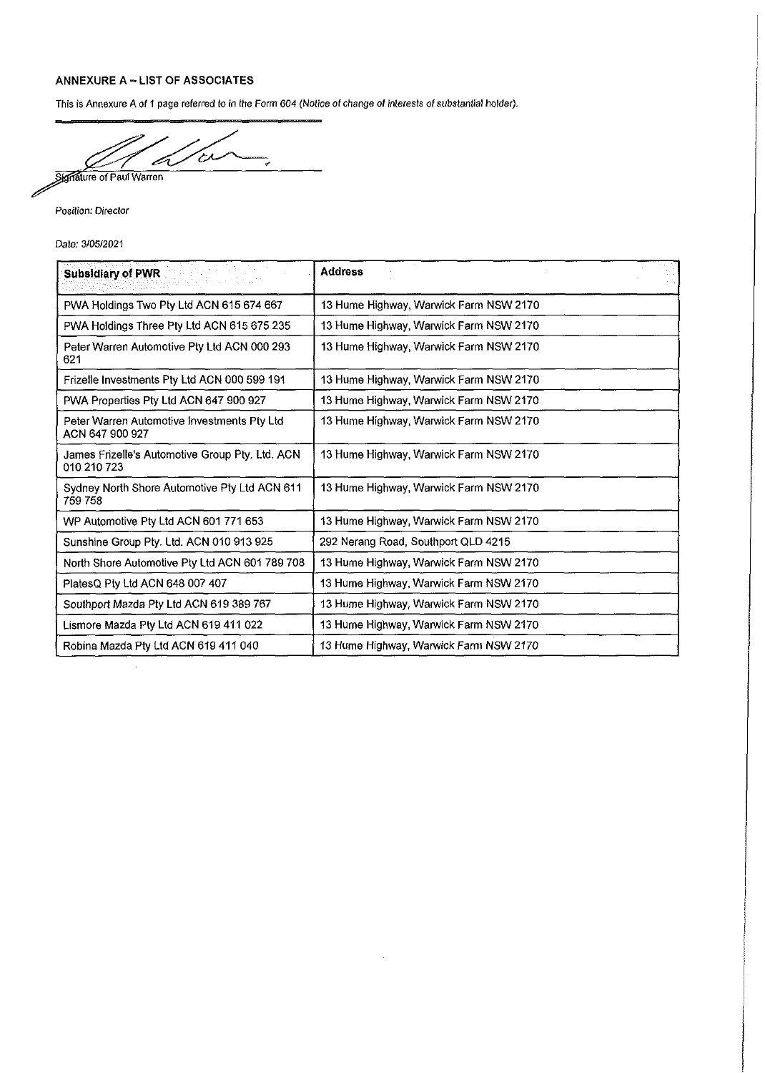#### **ANNEXURE <sup>A</sup> - LIST OF ASSOCIATES**

This is Annexure A of *<sup>1</sup>* page referred to in ihe Form *604 (Notice of change of interests of substantial holder).*

ひん *^^Jiigftaiure* of Paul Warren ∕ رده<br>ميا

Posilion: *Director*

*Dale:* 3/05/2021

 $\ddot{\phantom{a}}$ 

| Andrew March<br><b>Subsidiary of PWR</b>                       | <b>Address</b>                         |
|----------------------------------------------------------------|----------------------------------------|
| PWA Holdings Two Pty Ltd ACN 615 674 667                       | 13 Hume Highway, Warwick Farm NSW 2170 |
| PWA Holdings Three Pty Ltd ACN 615 675 235                     | 13 Hume Highway, Warwick Farm NSW 2170 |
| Peter Warren Automotive Pty Ltd ACN 000 293<br>621             | 13 Hume Highway, Warwick Farm NSW 2170 |
| Frizelle Investments Pty Ltd ACN 000 599 191                   | 13 Hume Highway, Warwick Farm NSW 2170 |
| PWA Properties Pty Ltd ACN 647 900 927                         | 13 Hume Highway, Warwick Farm NSW 2170 |
| Peter Warren Automotive Investments Pty Ltd<br>ACN 647 900 927 | 13 Hume Highway, Warwick Farm NSW 2170 |
| James Frizelle's Automotive Group Pty. Ltd. ACN<br>010 210 723 | 13 Hume Highway, Warwick Farm NSW 2170 |
| Sydney North Shore Automotive Pty Ltd ACN 611<br>759 758       | 13 Hume Highway, Warwick Farm NSW 2170 |
| WP Automotive Pty Ltd ACN 601 771 653                          | 13 Hume Highway, Warwick Farm NSW 2170 |
| Sunshine Group Pty. Ltd. ACN 010 913 925                       | 292 Nerang Road, Southport QLD 4215    |
| North Shore Automotive Pty Ltd ACN 601 789 708                 | 13 Hume Highway, Warwick Farm NSW 2170 |
| PlatesQ Pty Ltd ACN 648 007 407                                | 13 Hume Highway, Warwick Farm NSW 2170 |
| Southport Mazda Pty Ltd ACN 619 389 767                        | 13 Hume Highway, Warwick Farm NSW 2170 |
| Lismore Mazda Pty Ltd ACN 619 411 022                          | 13 Hume Highway, Warwick Farm NSW 2170 |
| Robina Mazda Pty Ltd ACN 619 411 040                           | 13 Hume Highway, Warwick Farm NSW 2170 |

 $\mathcal{A}^{\mathcal{A}}$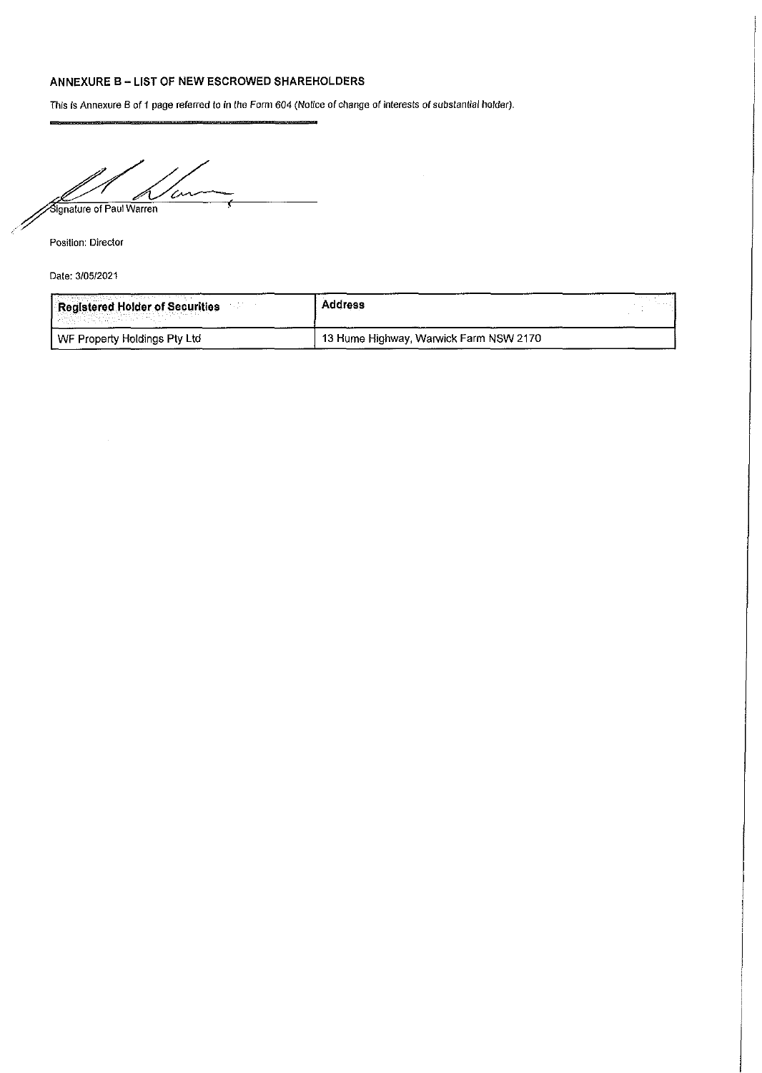#### **ANNEXURE <sup>B</sup> - LIST OF NEW ESCROWED SHAREHOLDERS**

This Is Annexure B of <sup>1</sup> page referred to in (he Form 604 (Notice of change of interests of substantial holder).

 $\overline{\mathscr{C}}$ Signature of Paul Warren

Position: Director

Date: 3/05/2021

| Registered Holder of Securities<br>나는 분위기 시작하자 전화 화도로 | <b>Address</b>                         |  |
|-------------------------------------------------------|----------------------------------------|--|
| WF Property Holdings Pty Ltd                          | 13 Hume Highway, Warwick Farm NSW 2170 |  |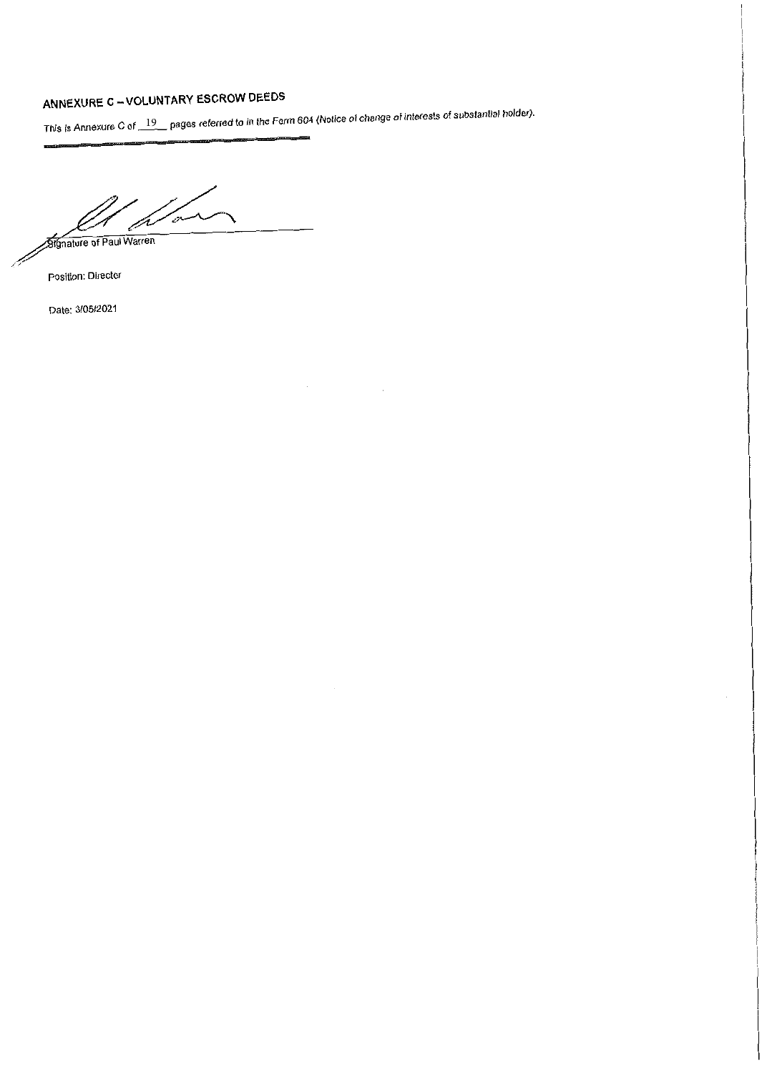# ANNEXURE C-VOLUNTARY ESCROW DEEDS

s is Annexure C of \_\_19 \_\_pages referred to in the Form 604 (Notice of change of interests of substantial holder).

 $\bar{z}$ 

*Fo*r

*<u>Signature of Paul Warren</u>* 

Position: Director

Date: 3/05/2021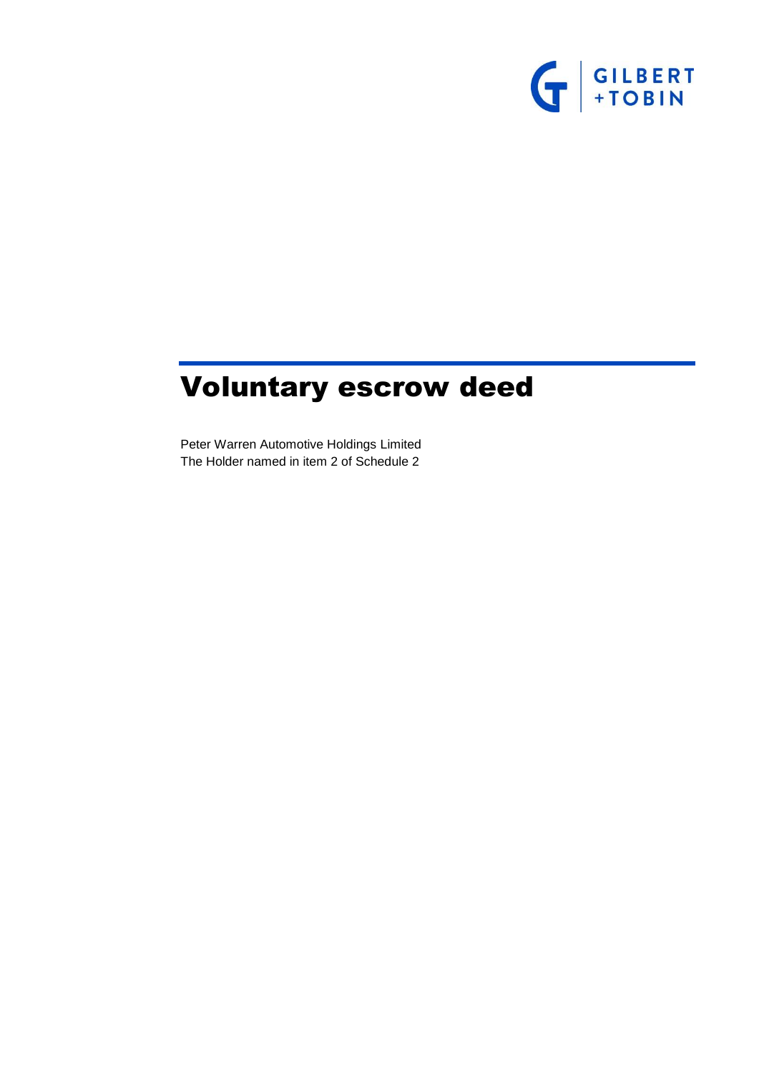

# Voluntary escrow deed

Peter Warren Automotive Holdings Limited The Holder named in item [2](#page-21-0) of [Schedule 2](#page-21-1)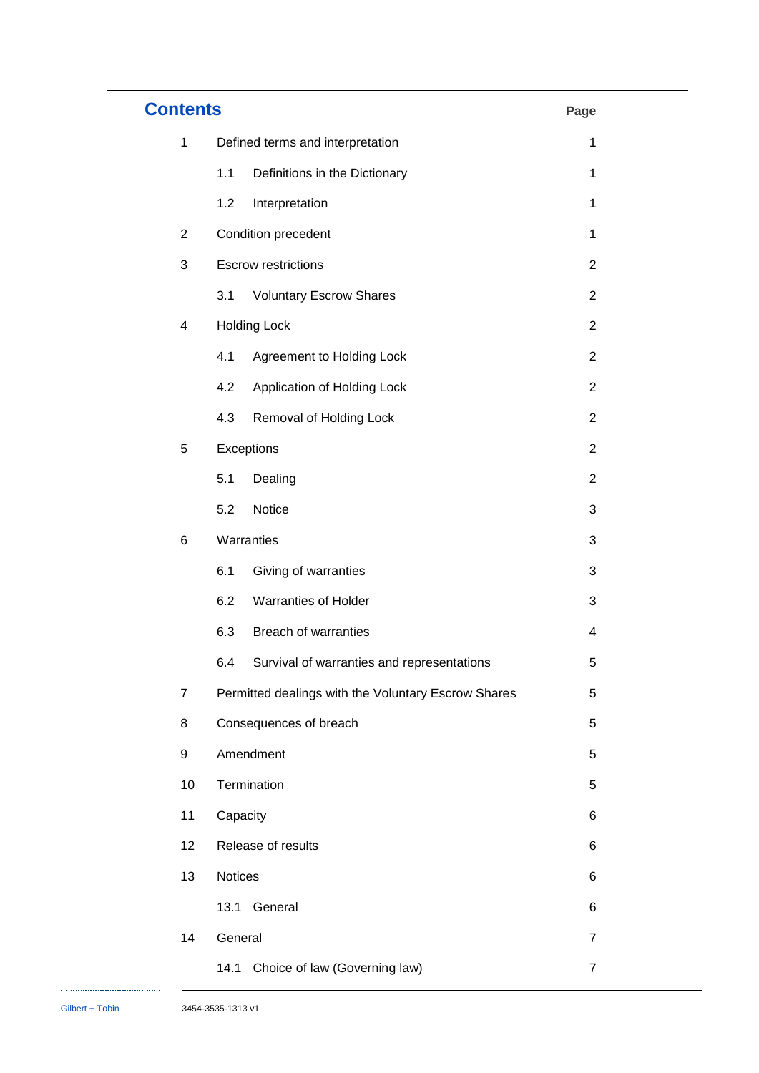| <b>Contents</b> |                                                     | Page |                         |
|-----------------|-----------------------------------------------------|------|-------------------------|
| $\mathbf{1}$    | Defined terms and interpretation                    |      | 1                       |
|                 | 1.1<br>Definitions in the Dictionary                |      | 1                       |
|                 | 1.2<br>Interpretation                               |      | 1                       |
| $\overline{2}$  | Condition precedent                                 |      | 1                       |
| 3               | <b>Escrow restrictions</b>                          |      | $\overline{2}$          |
|                 | 3.1<br><b>Voluntary Escrow Shares</b>               |      | $\overline{2}$          |
| 4               | <b>Holding Lock</b>                                 |      | $\overline{2}$          |
|                 | 4.1<br>Agreement to Holding Lock                    |      | $\overline{2}$          |
|                 | 4.2<br>Application of Holding Lock                  |      | $\overline{2}$          |
|                 | Removal of Holding Lock<br>4.3                      |      | $\overline{2}$          |
| 5               | Exceptions                                          |      | $\overline{2}$          |
|                 | 5.1<br>Dealing                                      |      | $\overline{2}$          |
|                 | 5.2<br>Notice                                       |      | 3                       |
| 6               | Warranties                                          |      | 3                       |
|                 | 6.1<br>Giving of warranties                         |      | 3                       |
|                 | 6.2<br>Warranties of Holder                         |      | 3                       |
|                 | 6.3<br><b>Breach of warranties</b>                  |      | $\overline{\mathbf{4}}$ |
|                 | 6.4<br>Survival of warranties and representations   |      | 5                       |
| $\overline{7}$  | Permitted dealings with the Voluntary Escrow Shares |      | 5                       |
| 8               | Consequences of breach                              |      | 5                       |
| 9               | Amendment                                           |      | 5                       |
| 10              | Termination                                         |      | 5                       |
| 11              | Capacity                                            |      | 6                       |
| 12              | Release of results                                  |      | 6                       |
| 13              | Notices                                             |      | 6                       |
|                 | 13.1<br>General                                     |      | 6                       |
| 14              | General                                             |      | 7                       |
|                 | Choice of law (Governing law)<br>14.1               |      | $\overline{7}$          |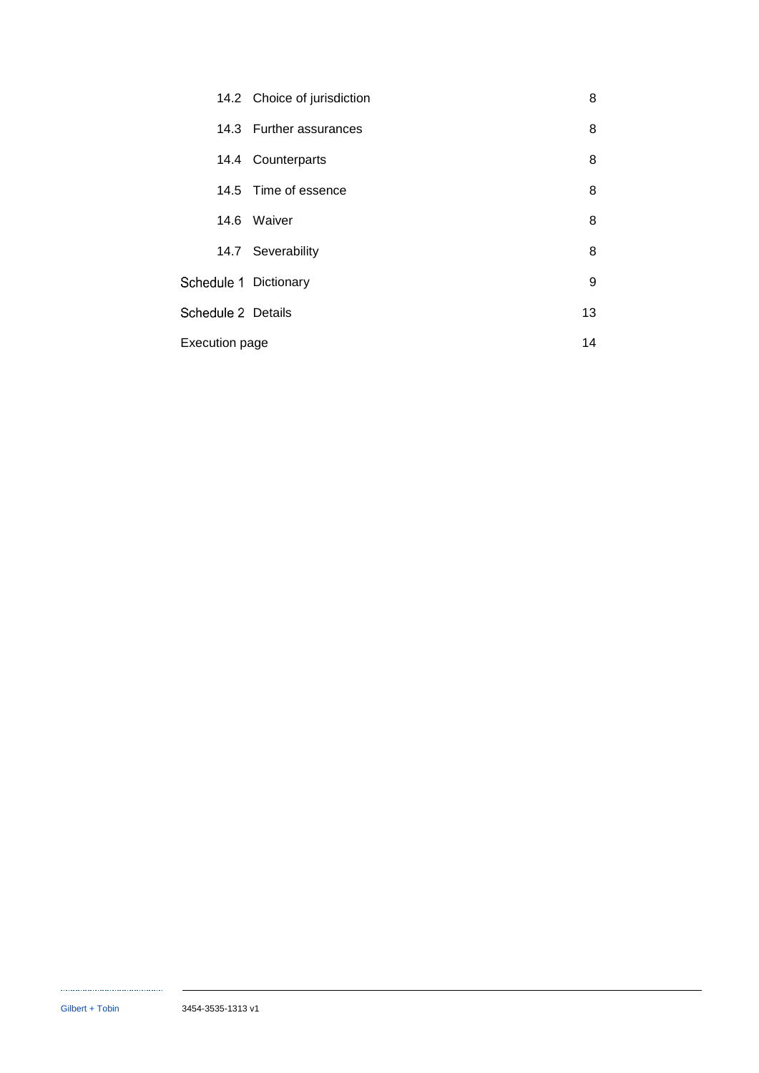|                       | 14.2 Choice of jurisdiction | 8  |
|-----------------------|-----------------------------|----|
|                       | 14.3 Further assurances     | 8  |
|                       | 14.4 Counterparts           | 8  |
|                       | 14.5 Time of essence        | 8  |
|                       | 14.6 Waiver                 | 8  |
|                       | 14.7 Severability           | 8  |
| Schedule 1 Dictionary |                             | 9  |
| Schedule 2 Details    |                             | 13 |
| Execution page        |                             | 14 |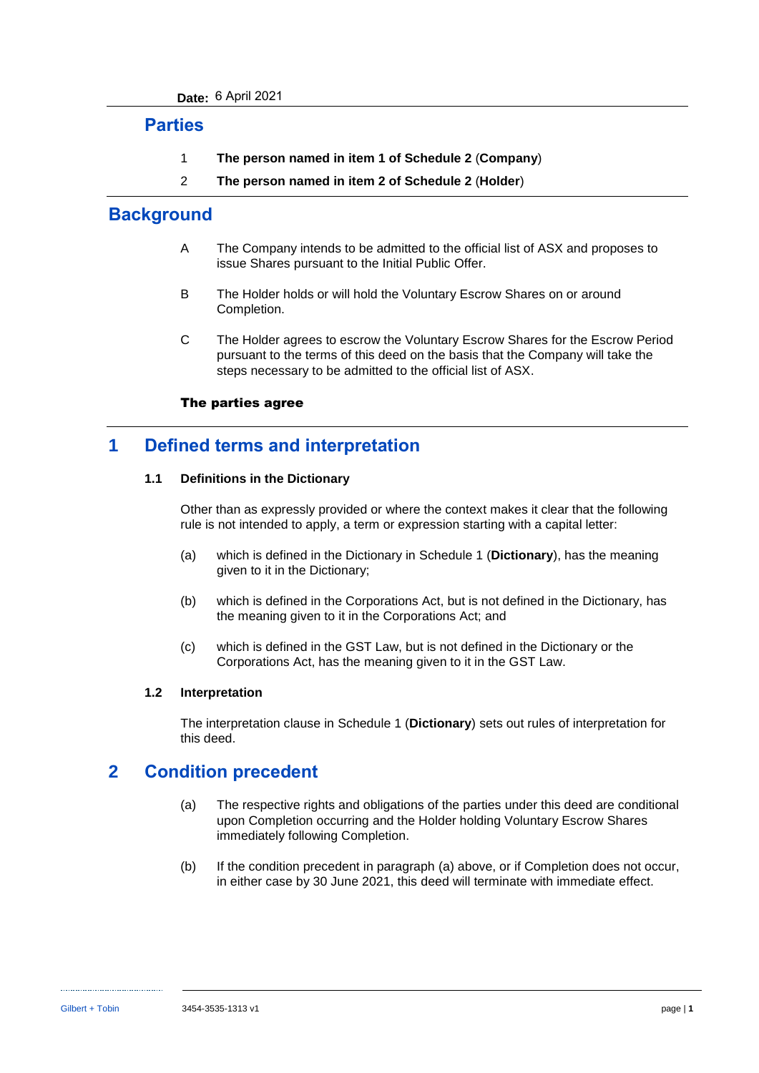### **Parties**

- 1 **The person named in item [1](#page-21-2) of [Schedule 2](#page-21-1)** (**Company**)
- 2 **The person named in item [2](#page-21-0) of [Schedule 2](#page-21-1)** (**Holder**)

### **Background**

- A The Company intends to be admitted to the official list of ASX and proposes to issue Shares pursuant to the Initial Public Offer.
- B The Holder holds or will hold the Voluntary Escrow Shares on or around Completion.
- C The Holder agrees to escrow the Voluntary Escrow Shares for the Escrow Period pursuant to the terms of this deed on the basis that the Company will take the steps necessary to be admitted to the official list of ASX.

### The parties agree

### **1 Defined terms and interpretation**

### **1.1 Definitions in the Dictionary**

Other than as expressly provided or where the context makes it clear that the following rule is not intended to apply, a term or expression starting with a capital letter:

- (a) which is defined in the Dictionary in [Schedule 1](#page-17-0) (**[Dictionary](#page-17-0)**), has the meaning given to it in the Dictionary;
- (b) which is defined in the Corporations Act, but is not defined in the Dictionary, has the meaning given to it in the Corporations Act; and
- (c) which is defined in the GST Law, but is not defined in the Dictionary or the Corporations Act, has the meaning given to it in the GST Law.

### **1.2 Interpretation**

The interpretation clause in [Schedule 1](#page-17-0) (**[Dictionary](#page-17-0)**) sets out rules of interpretation for this deed.

## <span id="page-9-0"></span>**2 Condition precedent**

- (a) The respective rights and obligations of the parties under this deed are conditional upon Completion occurring and the Holder holding Voluntary Escrow Shares immediately following Completion.
- (b) If the condition precedent in paragraph [\(a\)](#page-9-0) above, or if Completion does not occur, in either case by 30 June 2021, this deed will terminate with immediate effect.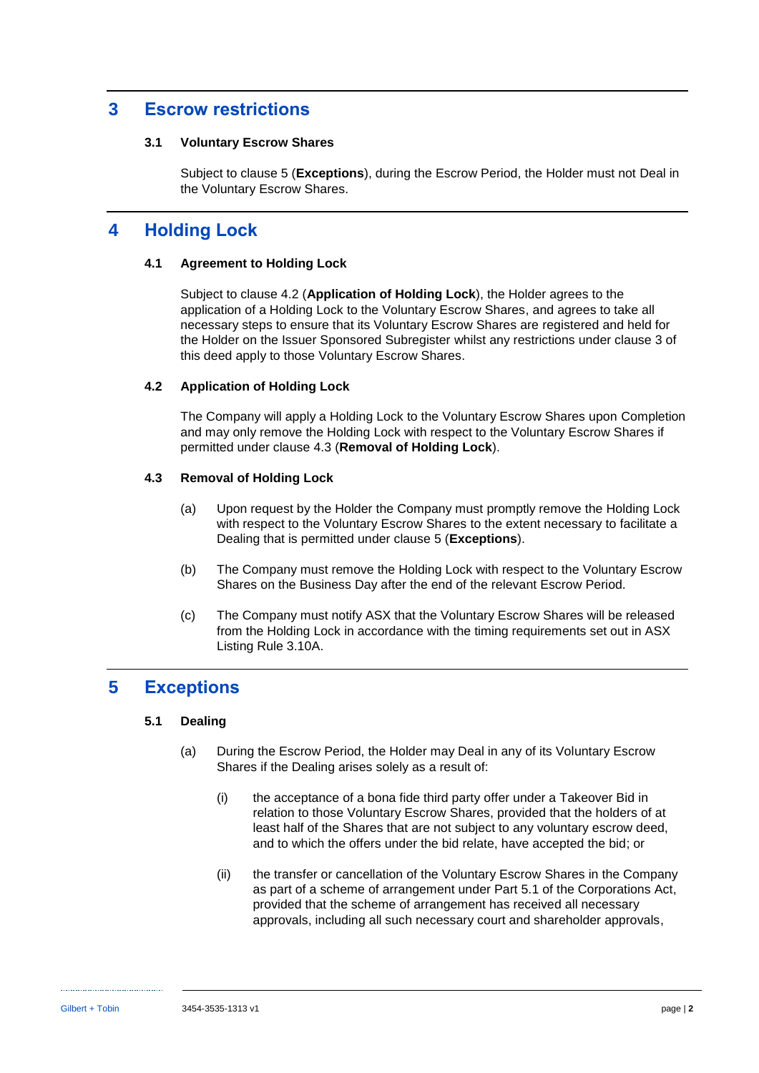### <span id="page-10-2"></span>**3 Escrow restrictions**

#### **3.1 Voluntary Escrow Shares**

Subject to clause [5](#page-10-0) (**[Exceptions](#page-10-0)**), during the Escrow Period, the Holder must not Deal in the Voluntary Escrow Shares.

## **4 Holding Lock**

### **4.1 Agreement to Holding Lock**

Subject to clause [4.2](#page-10-1) (**[Application of Holding Lock](#page-10-1)**), the Holder agrees to the application of a Holding Lock to the Voluntary Escrow Shares, and agrees to take all necessary steps to ensure that its Voluntary Escrow Shares are registered and held for the Holder on the Issuer Sponsored Subregister whilst any restrictions under clause [3](#page-10-2) of this deed apply to those Voluntary Escrow Shares.

### <span id="page-10-1"></span>**4.2 Application of Holding Lock**

The Company will apply a Holding Lock to the Voluntary Escrow Shares upon Completion and may only remove the Holding Lock with respect to the Voluntary Escrow Shares if permitted under clause [4.3](#page-10-3) (**[Removal of Holding Lock](#page-10-3)**).

### <span id="page-10-3"></span>**4.3 Removal of Holding Lock**

- (a) Upon request by the Holder the Company must promptly remove the Holding Lock with respect to the Voluntary Escrow Shares to the extent necessary to facilitate a Dealing that is permitted under clause [5](#page-10-0) (**[Exceptions](#page-10-0)**).
- (b) The Company must remove the Holding Lock with respect to the Voluntary Escrow Shares on the Business Day after the end of the relevant Escrow Period.
- (c) The Company must notify ASX that the Voluntary Escrow Shares will be released from the Holding Lock in accordance with the timing requirements set out in ASX Listing Rule 3.10A.

### <span id="page-10-0"></span>**5 Exceptions**

### **5.1 Dealing**

- (a) During the Escrow Period, the Holder may Deal in any of its Voluntary Escrow Shares if the Dealing arises solely as a result of:
	- (i) the acceptance of a bona fide third party offer under a Takeover Bid in relation to those Voluntary Escrow Shares, provided that the holders of at least half of the Shares that are not subject to any voluntary escrow deed, and to which the offers under the bid relate, have accepted the bid; or
	- (ii) the transfer or cancellation of the Voluntary Escrow Shares in the Company as part of a scheme of arrangement under Part 5.1 of the Corporations Act, provided that the scheme of arrangement has received all necessary approvals, including all such necessary court and shareholder approvals,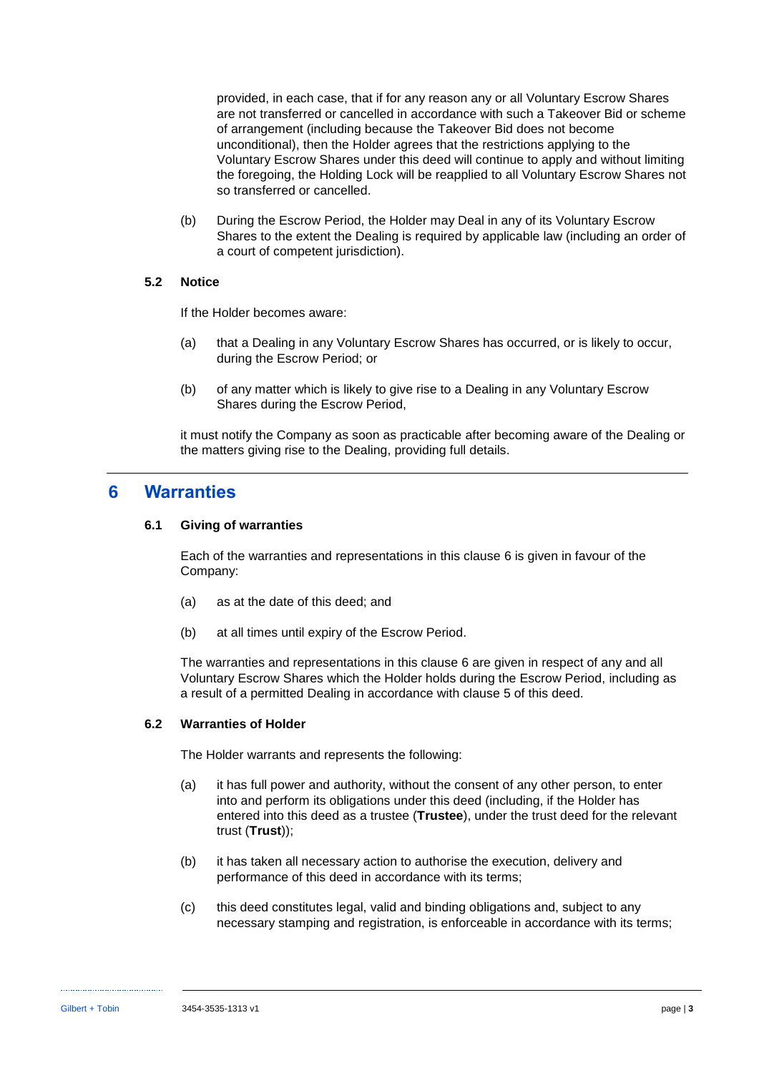provided, in each case, that if for any reason any or all Voluntary Escrow Shares are not transferred or cancelled in accordance with such a Takeover Bid or scheme of arrangement (including because the Takeover Bid does not become unconditional), then the Holder agrees that the restrictions applying to the Voluntary Escrow Shares under this deed will continue to apply and without limiting the foregoing, the Holding Lock will be reapplied to all Voluntary Escrow Shares not so transferred or cancelled.

(b) During the Escrow Period, the Holder may Deal in any of its Voluntary Escrow Shares to the extent the Dealing is required by applicable law (including an order of a court of competent jurisdiction).

### **5.2 Notice**

If the Holder becomes aware:

- (a) that a Dealing in any Voluntary Escrow Shares has occurred, or is likely to occur, during the Escrow Period; or
- (b) of any matter which is likely to give rise to a Dealing in any Voluntary Escrow Shares during the Escrow Period,

it must notify the Company as soon as practicable after becoming aware of the Dealing or the matters giving rise to the Dealing, providing full details.

### <span id="page-11-0"></span>**6 Warranties**

#### **6.1 Giving of warranties**

Each of the warranties and representations in this clause [6](#page-11-0) is given in favour of the Company:

- (a) as at the date of this deed; and
- (b) at all times until expiry of the Escrow Period.

The warranties and representations in this clause [6](#page-11-0) are given in respect of any and all Voluntary Escrow Shares which the Holder holds during the Escrow Period, including as a result of a permitted Dealing in accordance with clause [5](#page-10-0) of this deed.

#### <span id="page-11-1"></span>**6.2 Warranties of Holder**

The Holder warrants and represents the following:

- (a) it has full power and authority, without the consent of any other person, to enter into and perform its obligations under this deed (including, if the Holder has entered into this deed as a trustee (**Trustee**), under the trust deed for the relevant trust (**Trust**));
- (b) it has taken all necessary action to authorise the execution, delivery and performance of this deed in accordance with its terms;
- (c) this deed constitutes legal, valid and binding obligations and, subject to any necessary stamping and registration, is enforceable in accordance with its terms;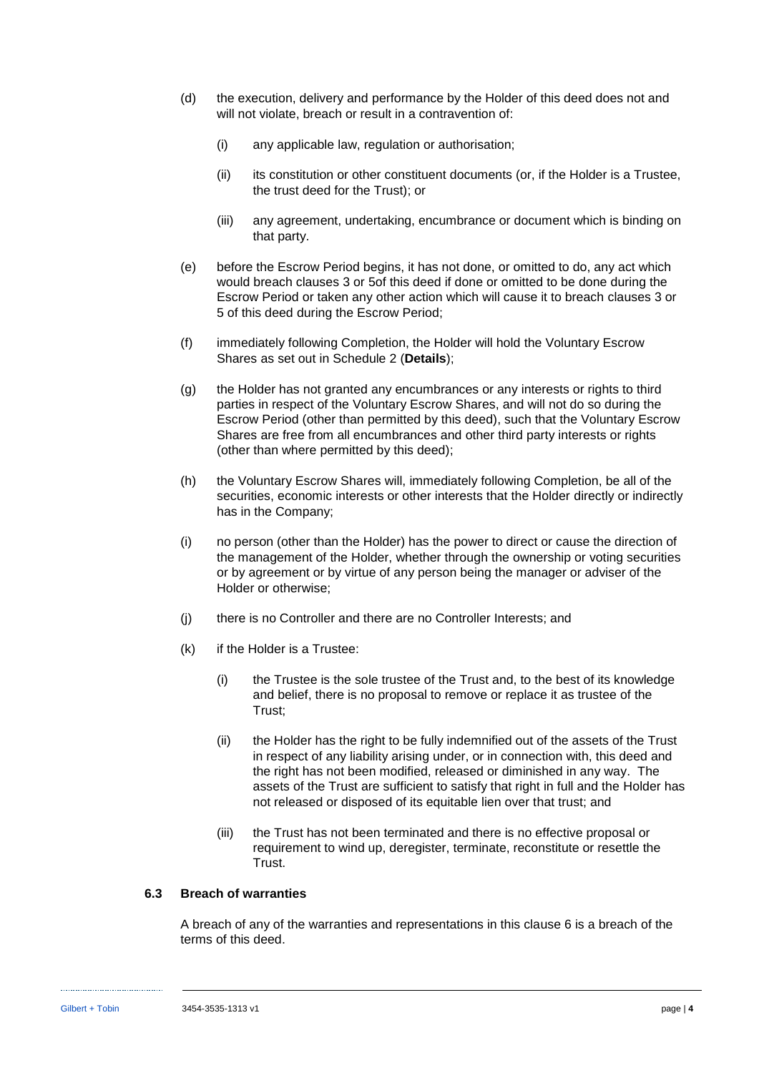- (d) the execution, delivery and performance by the Holder of this deed does not and will not violate, breach or result in a contravention of:
	- (i) any applicable law, regulation or authorisation;
	- (ii) its constitution or other constituent documents (or, if the Holder is a Trustee, the trust deed for the Trust); or
	- (iii) any agreement, undertaking, encumbrance or document which is binding on that party.
- (e) before the Escrow Period begins, it has not done, or omitted to do, any act which would breach clauses [3](#page-10-2) or [5o](#page-10-0)f this deed if done or omitted to be done during the Escrow Period or taken any other action which will cause it to breach clauses [3](#page-10-2) or [5](#page-10-0) of this deed during the Escrow Period;
- (f) immediately following Completion, the Holder will hold the Voluntary Escrow Shares as set out in [Schedule 2](#page-21-1) (**[Details](#page-21-1)**);
- (g) the Holder has not granted any encumbrances or any interests or rights to third parties in respect of the Voluntary Escrow Shares, and will not do so during the Escrow Period (other than permitted by this deed), such that the Voluntary Escrow Shares are free from all encumbrances and other third party interests or rights (other than where permitted by this deed);
- (h) the Voluntary Escrow Shares will, immediately following Completion, be all of the securities, economic interests or other interests that the Holder directly or indirectly has in the Company;
- (i) no person (other than the Holder) has the power to direct or cause the direction of the management of the Holder, whether through the ownership or voting securities or by agreement or by virtue of any person being the manager or adviser of the Holder or otherwise;
- (j) there is no Controller and there are no Controller Interests; and
- (k) if the Holder is a Trustee:
	- (i) the Trustee is the sole trustee of the Trust and, to the best of its knowledge and belief, there is no proposal to remove or replace it as trustee of the Trust;
	- (ii) the Holder has the right to be fully indemnified out of the assets of the Trust in respect of any liability arising under, or in connection with, this deed and the right has not been modified, released or diminished in any way. The assets of the Trust are sufficient to satisfy that right in full and the Holder has not released or disposed of its equitable lien over that trust; and
	- (iii) the Trust has not been terminated and there is no effective proposal or requirement to wind up, deregister, terminate, reconstitute or resettle the Trust.

### **6.3 Breach of warranties**

A breach of any of the warranties and representations in this clause [6](#page-11-0) is a breach of the terms of this deed.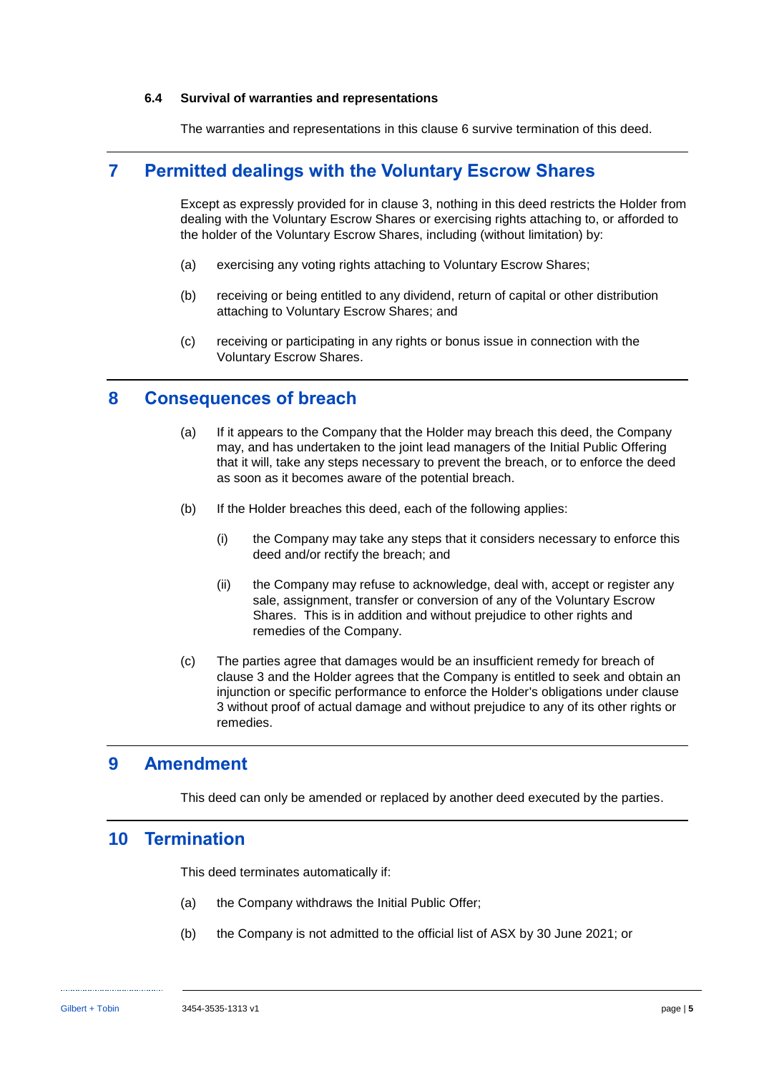#### **6.4 Survival of warranties and representations**

The warranties and representations in this clause [6](#page-11-0) survive termination of this deed.

### **7 Permitted dealings with the Voluntary Escrow Shares**

Except as expressly provided for in clause [3,](#page-10-2) nothing in this deed restricts the Holder from dealing with the Voluntary Escrow Shares or exercising rights attaching to, or afforded to the holder of the Voluntary Escrow Shares, including (without limitation) by:

- (a) exercising any voting rights attaching to Voluntary Escrow Shares;
- (b) receiving or being entitled to any dividend, return of capital or other distribution attaching to Voluntary Escrow Shares; and
- (c) receiving or participating in any rights or bonus issue in connection with the Voluntary Escrow Shares.

### **8 Consequences of breach**

- (a) If it appears to the Company that the Holder may breach this deed, the Company may, and has undertaken to the joint lead managers of the Initial Public Offering that it will, take any steps necessary to prevent the breach, or to enforce the deed as soon as it becomes aware of the potential breach.
- (b) If the Holder breaches this deed, each of the following applies:
	- (i) the Company may take any steps that it considers necessary to enforce this deed and/or rectify the breach; and
	- (ii) the Company may refuse to acknowledge, deal with, accept or register any sale, assignment, transfer or conversion of any of the Voluntary Escrow Shares. This is in addition and without prejudice to other rights and remedies of the Company.
- (c) The parties agree that damages would be an insufficient remedy for breach of clause [3](#page-10-2) and the Holder agrees that the Company is entitled to seek and obtain an injunction or specific performance to enforce the Holder's obligations under clause [3](#page-10-2) without proof of actual damage and without prejudice to any of its other rights or remedies.

### **9 Amendment**

This deed can only be amended or replaced by another deed executed by the parties.

### **10 Termination**

This deed terminates automatically if:

- (a) the Company withdraws the Initial Public Offer;
- (b) the Company is not admitted to the official list of ASX by 30 June 2021; or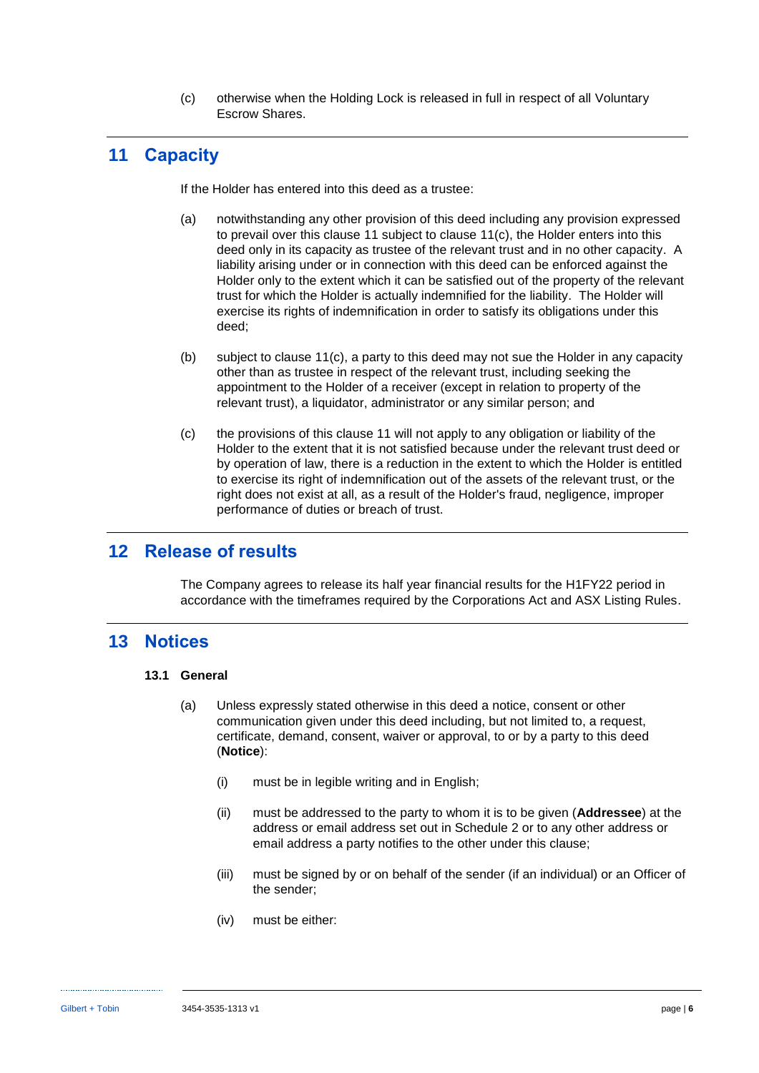(c) otherwise when the Holding Lock is released in full in respect of all Voluntary Escrow Shares.

# <span id="page-14-0"></span>**11 Capacity**

If the Holder has entered into this deed as a trustee:

- (a) notwithstanding any other provision of this deed including any provision expressed to prevail over this clause [11](#page-14-0) subject to clause [11\(c\),](#page-14-1) the Holder enters into this deed only in its capacity as trustee of the relevant trust and in no other capacity. A liability arising under or in connection with this deed can be enforced against the Holder only to the extent which it can be satisfied out of the property of the relevant trust for which the Holder is actually indemnified for the liability. The Holder will exercise its rights of indemnification in order to satisfy its obligations under this deed;
- (b) subject to clause [11\(c\),](#page-14-1) a party to this deed may not sue the Holder in any capacity other than as trustee in respect of the relevant trust, including seeking the appointment to the Holder of a receiver (except in relation to property of the relevant trust), a liquidator, administrator or any similar person; and
- <span id="page-14-1"></span>(c) the provisions of this clause [11](#page-14-0) will not apply to any obligation or liability of the Holder to the extent that it is not satisfied because under the relevant trust deed or by operation of law, there is a reduction in the extent to which the Holder is entitled to exercise its right of indemnification out of the assets of the relevant trust, or the right does not exist at all, as a result of the Holder's fraud, negligence, improper performance of duties or breach of trust.

### **12 Release of results**

The Company agrees to release its half year financial results for the H1FY22 period in accordance with the timeframes required by the Corporations Act and ASX Listing Rules.

### <span id="page-14-2"></span>**13 Notices**

### **13.1 General**

- (a) Unless expressly stated otherwise in this deed a notice, consent or other communication given under this deed including, but not limited to, a request, certificate, demand, consent, waiver or approval, to or by a party to this deed (**Notice**):
	- (i) must be in legible writing and in English;
	- (ii) must be addressed to the party to whom it is to be given (**Addressee**) at the address or email address set out in [Schedule 2](#page-21-1) or to any other address or email address a party notifies to the other under this clause;
	- (iii) must be signed by or on behalf of the sender (if an individual) or an Officer of the sender;
	- (iv) must be either: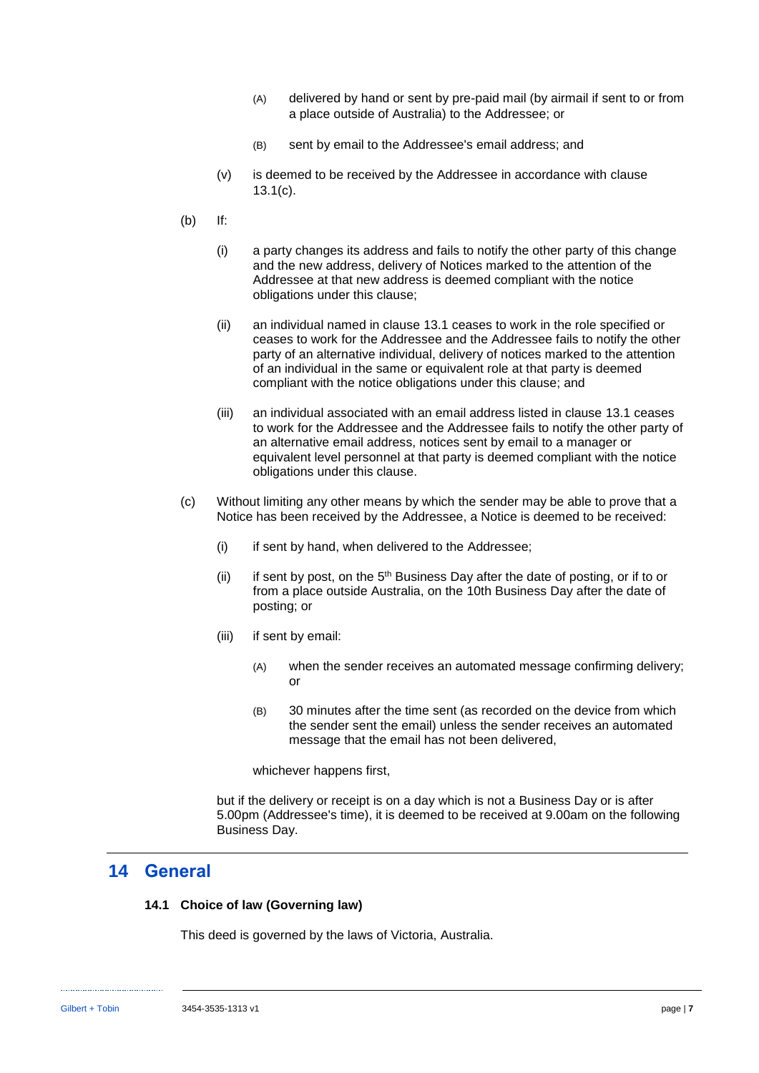- (A) delivered by hand or sent by pre-paid mail (by airmail if sent to or from a place outside of Australia) to the Addressee; or
- (B) sent by email to the Addressee's email address; and
- (v) is deemed to be received by the Addressee in accordance with clause [13.1\(c\).](#page-15-0)
- (b) If:
	- (i) a party changes its address and fails to notify the other party of this change and the new address, delivery of Notices marked to the attention of the Addressee at that new address is deemed compliant with the notice obligations under this clause;
	- (ii) an individual named in clause [13.1](#page-14-2) ceases to work in the role specified or ceases to work for the Addressee and the Addressee fails to notify the other party of an alternative individual, delivery of notices marked to the attention of an individual in the same or equivalent role at that party is deemed compliant with the notice obligations under this clause; and
	- (iii) an individual associated with an email address listed in clause [13.1](#page-14-2) ceases to work for the Addressee and the Addressee fails to notify the other party of an alternative email address, notices sent by email to a manager or equivalent level personnel at that party is deemed compliant with the notice obligations under this clause.
- <span id="page-15-0"></span>(c) Without limiting any other means by which the sender may be able to prove that a Notice has been received by the Addressee, a Notice is deemed to be received:
	- (i) if sent by hand, when delivered to the Addressee;
	- (ii) if sent by post, on the  $5<sup>th</sup>$  Business Day after the date of posting, or if to or from a place outside Australia, on the 10th Business Day after the date of posting; or
	- (iii) if sent by email:
		- (A) when the sender receives an automated message confirming delivery; or
		- (B) 30 minutes after the time sent (as recorded on the device from which the sender sent the email) unless the sender receives an automated message that the email has not been delivered,

whichever happens first,

but if the delivery or receipt is on a day which is not a Business Day or is after 5.00pm (Addressee's time), it is deemed to be received at 9.00am on the following Business Day.

### **14 General**

#### **14.1 Choice of law (Governing law)**

This deed is governed by the laws of Victoria, Australia.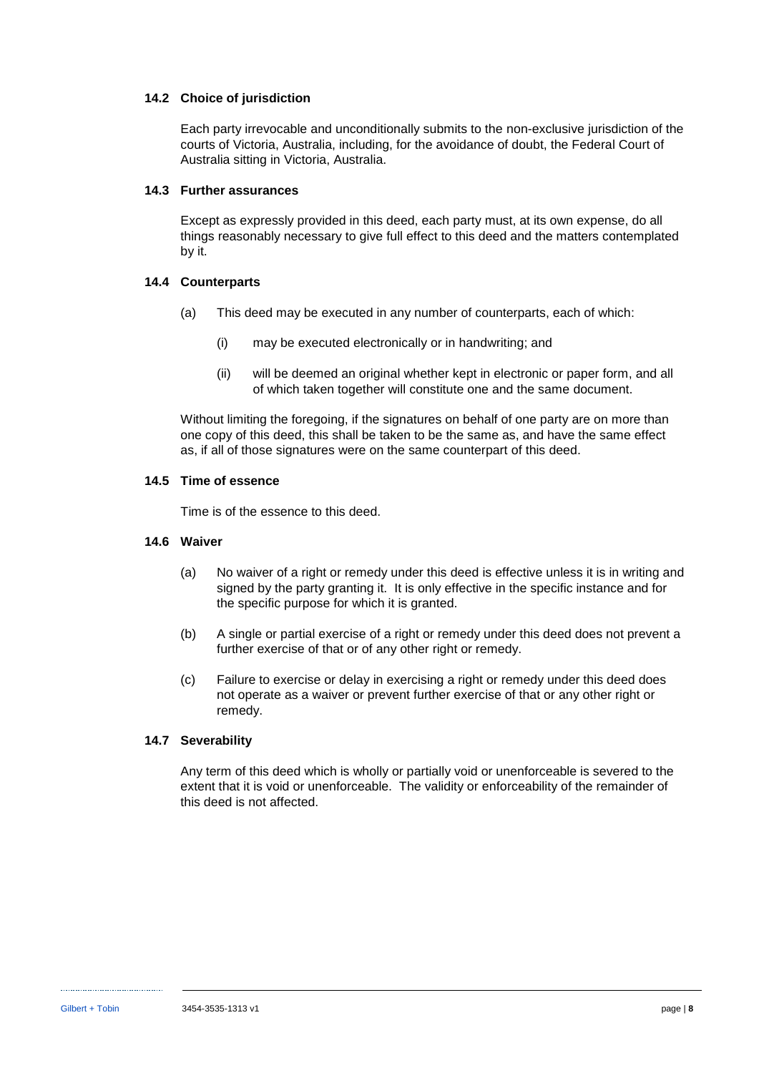### **14.2 Choice of jurisdiction**

Each party irrevocable and unconditionally submits to the non-exclusive jurisdiction of the courts of Victoria, Australia, including, for the avoidance of doubt, the Federal Court of Australia sitting in Victoria, Australia.

#### **14.3 Further assurances**

Except as expressly provided in this deed, each party must, at its own expense, do all things reasonably necessary to give full effect to this deed and the matters contemplated by it.

#### **14.4 Counterparts**

- (a) This deed may be executed in any number of counterparts, each of which:
	- (i) may be executed electronically or in handwriting; and
	- (ii) will be deemed an original whether kept in electronic or paper form, and all of which taken together will constitute one and the same document.

Without limiting the foregoing, if the signatures on behalf of one party are on more than one copy of this deed, this shall be taken to be the same as, and have the same effect as, if all of those signatures were on the same counterpart of this deed.

#### **14.5 Time of essence**

Time is of the essence to this deed.

#### **14.6 Waiver**

- (a) No waiver of a right or remedy under this deed is effective unless it is in writing and signed by the party granting it. It is only effective in the specific instance and for the specific purpose for which it is granted.
- (b) A single or partial exercise of a right or remedy under this deed does not prevent a further exercise of that or of any other right or remedy.
- (c) Failure to exercise or delay in exercising a right or remedy under this deed does not operate as a waiver or prevent further exercise of that or any other right or remedy.

### **14.7 Severability**

Any term of this deed which is wholly or partially void or unenforceable is severed to the extent that it is void or unenforceable. The validity or enforceability of the remainder of this deed is not affected.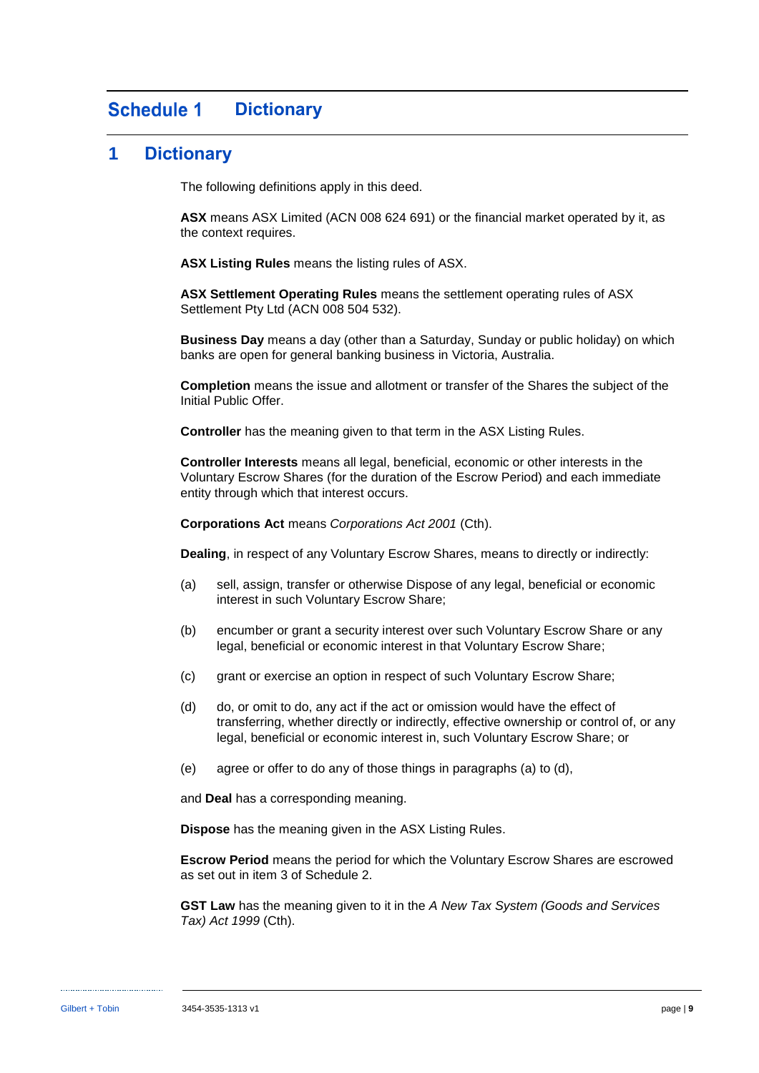#### <span id="page-17-0"></span>**Schedule 1 Dictionary**

### **1 Dictionary**

The following definitions apply in this deed.

**ASX** means ASX Limited (ACN 008 624 691) or the financial market operated by it, as the context requires.

**ASX Listing Rules** means the listing rules of ASX.

**ASX Settlement Operating Rules** means the settlement operating rules of ASX Settlement Pty Ltd (ACN 008 504 532).

**Business Day** means a day (other than a Saturday, Sunday or public holiday) on which banks are open for general banking business in Victoria, Australia.

**Completion** means the issue and allotment or transfer of the Shares the subject of the Initial Public Offer.

**Controller** has the meaning given to that term in the ASX Listing Rules.

**Controller Interests** means all legal, beneficial, economic or other interests in the Voluntary Escrow Shares (for the duration of the Escrow Period) and each immediate entity through which that interest occurs.

**Corporations Act** means *Corporations Act 2001* (Cth).

**Dealing**, in respect of any Voluntary Escrow Shares, means to directly or indirectly:

- (a) sell, assign, transfer or otherwise Dispose of any legal, beneficial or economic interest in such Voluntary Escrow Share;
- (b) encumber or grant a security interest over such Voluntary Escrow Share or any legal, beneficial or economic interest in that Voluntary Escrow Share;
- (c) grant or exercise an option in respect of such Voluntary Escrow Share;
- (d) do, or omit to do, any act if the act or omission would have the effect of transferring, whether directly or indirectly, effective ownership or control of, or any legal, beneficial or economic interest in, such Voluntary Escrow Share; or
- (e) agree or offer to do any of those things in paragraphs (a) to (d),

and **Deal** has a corresponding meaning.

**Dispose** has the meaning given in the ASX Listing Rules.

**Escrow Period** means the period for which the Voluntary Escrow Shares are escrowed as set out in item [3](#page-21-3) of [Schedule 2.](#page-21-1)

**GST Law** has the meaning given to it in the *A New Tax System (Goods and Services Tax) Act 1999* (Cth).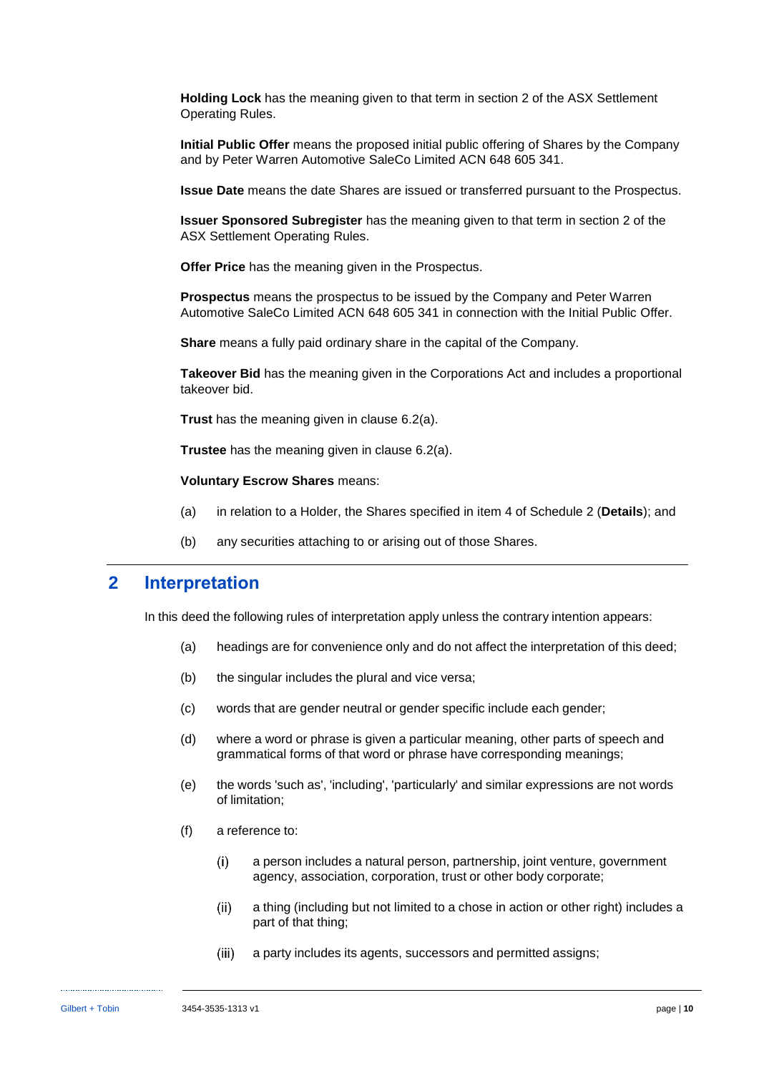**Holding Lock** has the meaning given to that term in section 2 of the ASX Settlement Operating Rules.

**Initial Public Offer** means the proposed initial public offering of Shares by the Company and by Peter Warren Automotive SaleCo Limited ACN 648 605 341.

**Issue Date** means the date Shares are issued or transferred pursuant to the Prospectus.

**Issuer Sponsored Subregister** has the meaning given to that term in section 2 of the ASX Settlement Operating Rules.

**Offer Price** has the meaning given in the Prospectus.

**Prospectus** means the prospectus to be issued by the Company and Peter Warren Automotive SaleCo Limited ACN 648 605 341 in connection with the Initial Public Offer.

**Share** means a fully paid ordinary share in the capital of the Company.

**Takeover Bid** has the meaning given in the Corporations Act and includes a proportional takeover bid.

**Trust** has the meaning given in clause [6.2\(a\).](#page-11-1)

**Trustee** has the meaning given in clause [6.2\(a\).](#page-11-1)

#### **Voluntary Escrow Shares** means:

- (a) in relation to a Holder, the Shares specified in item [4](#page-21-4) of [Schedule 2](#page-21-1) (**[Details](#page-21-1)**); and
- (b) any securities attaching to or arising out of those Shares.

### **2 Interpretation**

In this deed the following rules of interpretation apply unless the contrary intention appears:

- (a) headings are for convenience only and do not affect the interpretation of this deed;
- (b) the singular includes the plural and vice versa;
- (c) words that are gender neutral or gender specific include each gender;
- (d) where a word or phrase is given a particular meaning, other parts of speech and grammatical forms of that word or phrase have corresponding meanings;
- (e) the words 'such as', 'including', 'particularly' and similar expressions are not words of limitation;
- (f) a reference to:
	- $(i)$ a person includes a natural person, partnership, joint venture, government agency, association, corporation, trust or other body corporate;
	- $(ii)$ a thing (including but not limited to a chose in action or other right) includes a part of that thing;
	- $(iii)$ a party includes its agents, successors and permitted assigns;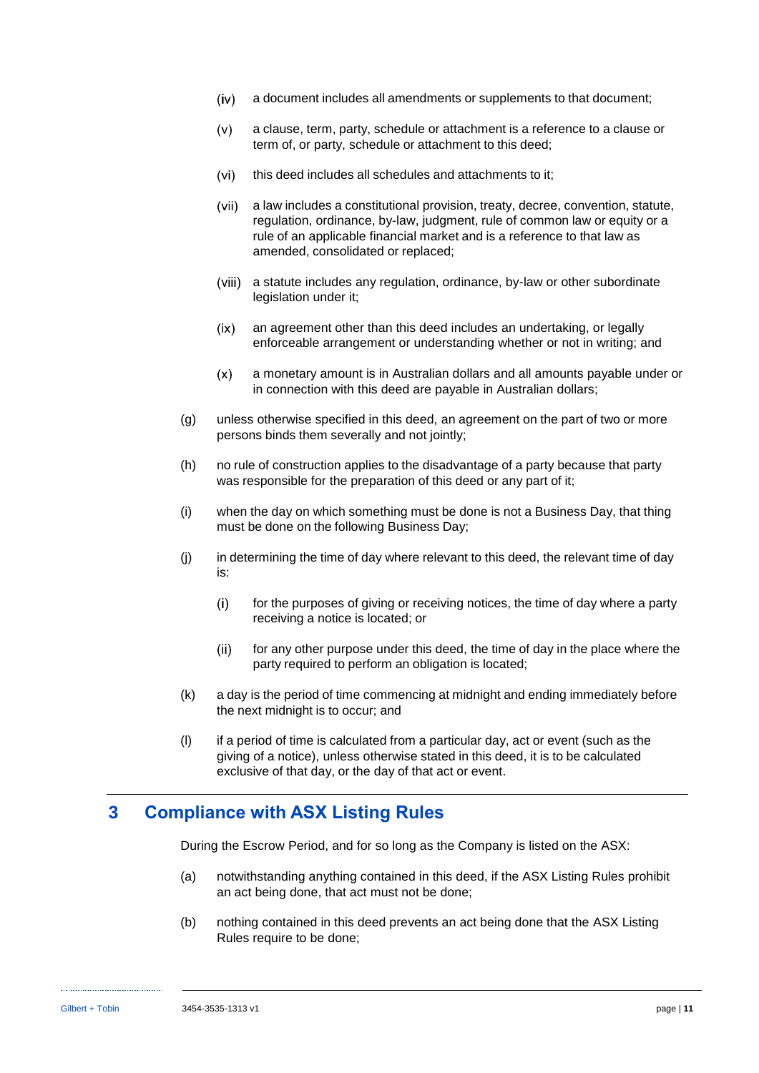- $(iv)$ a document includes all amendments or supplements to that document;
- $(v)$ a clause, term, party, schedule or attachment is a reference to a clause or term of, or party, schedule or attachment to this deed;
- $(vi)$ this deed includes all schedules and attachments to it;
- $(vii)$ a law includes a constitutional provision, treaty, decree, convention, statute, regulation, ordinance, by-law, judgment, rule of common law or equity or a rule of an applicable financial market and is a reference to that law as amended, consolidated or replaced;
- a statute includes any regulation, ordinance, by-law or other subordinate legislation under it;
- $(ix)$ an agreement other than this deed includes an undertaking, or legally enforceable arrangement or understanding whether or not in writing; and
- $(x)$ a monetary amount is in Australian dollars and all amounts payable under or in connection with this deed are payable in Australian dollars;
- (g) unless otherwise specified in this deed, an agreement on the part of two or more persons binds them severally and not jointly;
- (h) no rule of construction applies to the disadvantage of a party because that party was responsible for the preparation of this deed or any part of it;
- (i) when the day on which something must be done is not a Business Day, that thing must be done on the following Business Day;
- (j) in determining the time of day where relevant to this deed, the relevant time of day is:
	- $(i)$ for the purposes of giving or receiving notices, the time of day where a party receiving a notice is located; or
	- $(ii)$ for any other purpose under this deed, the time of day in the place where the party required to perform an obligation is located;
- (k) a day is the period of time commencing at midnight and ending immediately before the next midnight is to occur; and
- (l) if a period of time is calculated from a particular day, act or event (such as the giving of a notice), unless otherwise stated in this deed, it is to be calculated exclusive of that day, or the day of that act or event.

### **3 Compliance with ASX Listing Rules**

During the Escrow Period, and for so long as the Company is listed on the ASX:

- (a) notwithstanding anything contained in this deed, if the ASX Listing Rules prohibit an act being done, that act must not be done;
- (b) nothing contained in this deed prevents an act being done that the ASX Listing Rules require to be done;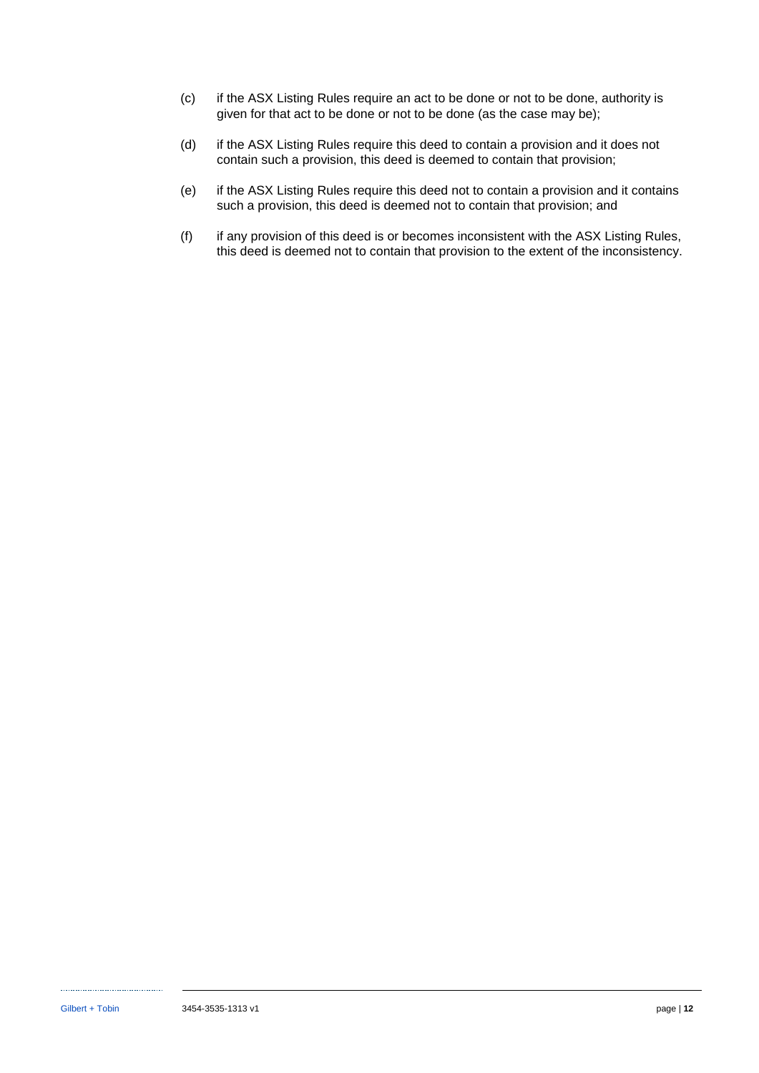- (c) if the ASX Listing Rules require an act to be done or not to be done, authority is given for that act to be done or not to be done (as the case may be);
- (d) if the ASX Listing Rules require this deed to contain a provision and it does not contain such a provision, this deed is deemed to contain that provision;
- (e) if the ASX Listing Rules require this deed not to contain a provision and it contains such a provision, this deed is deemed not to contain that provision; and
- (f) if any provision of this deed is or becomes inconsistent with the ASX Listing Rules, this deed is deemed not to contain that provision to the extent of the inconsistency.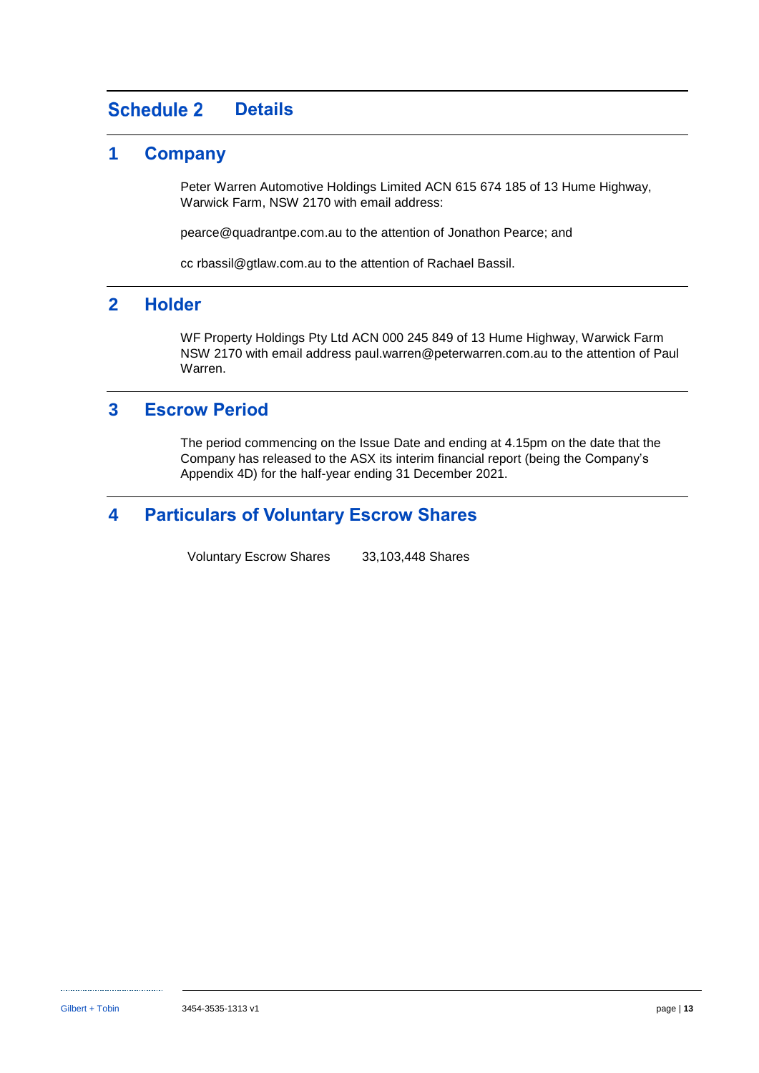#### <span id="page-21-1"></span>**Schedule 2 Details**

### <span id="page-21-2"></span>**1 Company**

Peter Warren Automotive Holdings Limited ACN 615 674 185 of 13 Hume Highway, Warwick Farm, NSW 2170 with email address:

pearce@quadrantpe.com.au to the attention of Jonathon Pearce; and

cc rbassil@gtlaw.com.au to the attention of Rachael Bassil.

### <span id="page-21-0"></span>**2 Holder**

WF Property Holdings Pty Ltd ACN 000 245 849 of 13 Hume Highway, Warwick Farm NSW 2170 with email address paul.warren@peterwarren.com.au to the attention of Paul Warren.

### <span id="page-21-3"></span>**3 Escrow Period**

The period commencing on the Issue Date and ending at 4.15pm on the date that the Company has released to the ASX its interim financial report (being the Company's Appendix 4D) for the half-year ending 31 December 2021.

### <span id="page-21-4"></span>**4 Particulars of Voluntary Escrow Shares**

Voluntary Escrow Shares 33,103,448 Shares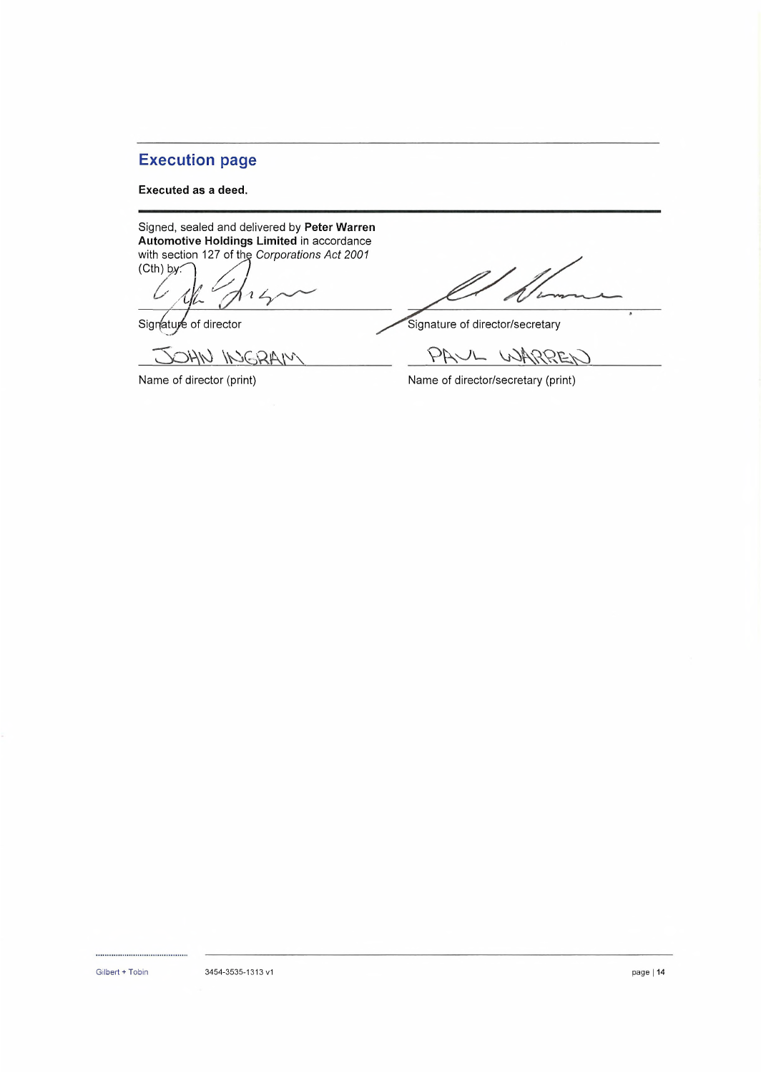### Execution page

#### **Executed as a deed.**

Signed, sealed and delivered by **Peter Warren Automotive Holdings Limited** in accordance with section 127 of the *Corporations Act 2001*<br>(Cth) by:

*y. '/0L*  $14$ 

OHN INGRAM

Signature of director Signature of director/secretary

PAUL WARREN

Name of director (print) Name of director/secretary (print)